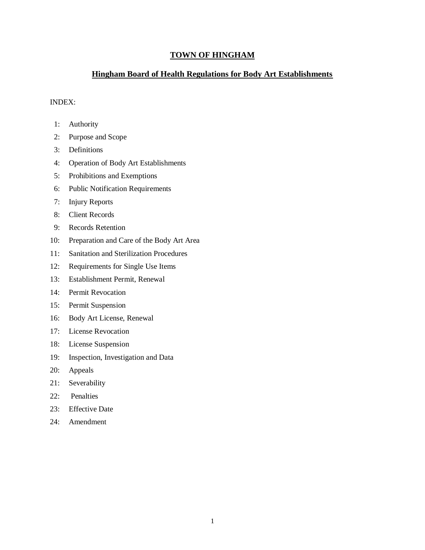# **TOWN OF HINGHAM**

# **Hingham Board of Health Regulations for Body Art Establishments**

### INDEX:

- 1: Authority
- 2: Purpose and Scope
- 3: Definitions
- 4: Operation of Body Art Establishments
- 5: Prohibitions and Exemptions
- 6: Public Notification Requirements
- 7: Injury Reports
- 8: Client Records
- 9: Records Retention
- 10: Preparation and Care of the Body Art Area
- 11: Sanitation and Sterilization Procedures
- 12: Requirements for Single Use Items
- 13: Establishment Permit, Renewal
- 14: Permit Revocation
- 15: Permit Suspension
- 16: Body Art License, Renewal
- 17: License Revocation
- 18: License Suspension
- 19: Inspection, Investigation and Data
- 20: Appeals
- 21: Severability
- 22: Penalties
- 23: Effective Date
- 24: Amendment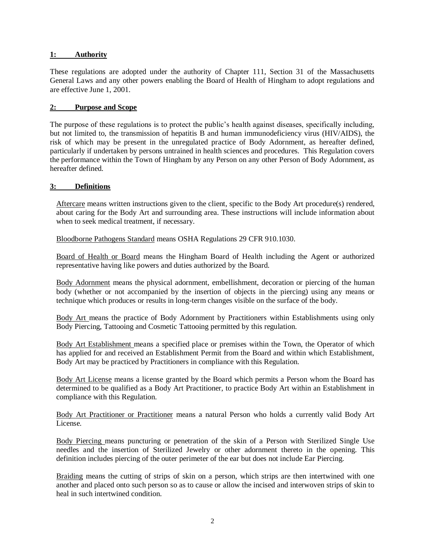### **1: Authority**

These regulations are adopted under the authority of Chapter 111, Section 31 of the Massachusetts General Laws and any other powers enabling the Board of Health of Hingham to adopt regulations and are effective June 1, 2001.

# **2: Purpose and Scope**

The purpose of these regulations is to protect the public's health against diseases, specifically including, but not limited to, the transmission of hepatitis B and human immunodeficiency virus (HIV/AIDS), the risk of which may be present in the unregulated practice of Body Adornment, as hereafter defined, particularly if undertaken by persons untrained in health sciences and procedures. This Regulation covers the performance within the Town of Hingham by any Person on any other Person of Body Adornment, as hereafter defined.

### **3: Definitions**

Aftercare means written instructions given to the client, specific to the Body Art procedure(s) rendered, about caring for the Body Art and surrounding area. These instructions will include information about when to seek medical treatment, if necessary.

Bloodborne Pathogens Standard means OSHA Regulations 29 CFR 910.1030.

Board of Health or Board means the Hingham Board of Health including the Agent or authorized representative having like powers and duties authorized by the Board.

Body Adornment means the physical adornment, embellishment, decoration or piercing of the human body (whether or not accompanied by the insertion of objects in the piercing) using any means or technique which produces or results in long-term changes visible on the surface of the body.

Body Art means the practice of Body Adornment by Practitioners within Establishments using only Body Piercing, Tattooing and Cosmetic Tattooing permitted by this regulation.

Body Art Establishment means a specified place or premises within the Town, the Operator of which has applied for and received an Establishment Permit from the Board and within which Establishment, Body Art may be practiced by Practitioners in compliance with this Regulation.

Body Art License means a license granted by the Board which permits a Person whom the Board has determined to be qualified as a Body Art Practitioner, to practice Body Art within an Establishment in compliance with this Regulation.

Body Art Practitioner or Practitioner means a natural Person who holds a currently valid Body Art License.

Body Piercing means puncturing or penetration of the skin of a Person with Sterilized Single Use needles and the insertion of Sterilized Jewelry or other adornment thereto in the opening. This definition includes piercing of the outer perimeter of the ear but does not include Ear Piercing.

Braiding means the cutting of strips of skin on a person, which strips are then intertwined with one another and placed onto such person so as to cause or allow the incised and interwoven strips of skin to heal in such intertwined condition.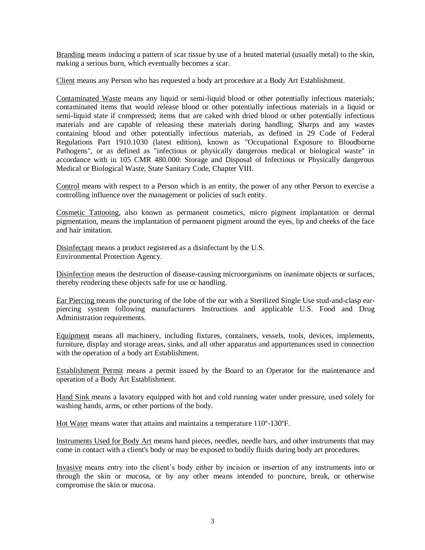Branding means inducing a pattern of scar tissue by use of a heated material (usually metal) to the skin, making a serious burn, which eventually becomes a scar.

Client means any Person who has requested a body art procedure at a Body Art Establishment.

Contaminated Waste means any liquid or semi-liquid blood or other potentially infectious materials; contaminated items that would release blood or other potentially infectious materials in a liquid or semi-liquid state if compressed; items that are caked with dried blood or other potentially infectious materials and are capable of releasing these materials during handling; Sharps and any wastes containing blood and other potentially infectious materials, as defined in 29 Code of Federal Regulations Part 1910.1030 (latest edition), known as "Occupational Exposure to Bloodborne Pathogens", or as defined as "infectious or physically dangerous medical or biological waste" in accordance with in 105 CMR 480.000: Storage and Disposal of Infectious or Physically dangerous Medical or Biological Waste, State Sanitary Code, Chapter VIII.

Control means with respect to a Person which is an entity, the power of any other Person to exercise a controlling influence over the management or policies of such entity.

Cosmetic Tattooing, also known as permanent cosmetics, micro pigment implantation or dermal pigmentation, means the implantation of permanent pigment around the eyes, lip and cheeks of the face and hair imitation.

Disinfectant means a product registered as a disinfectant by the U.S. Environmental Protection Agency.

Disinfection means the destruction of disease-causing microorganisms on inanimate objects or surfaces, thereby rendering these objects safe for use or handling.

Ear Piercing means the puncturing of the lobe of the ear with a Sterilized Single Use stud-and-clasp earpiercing system following manufacturers Instructions and applicable U.S. Food and Drug Administration requirements.

Equipment means all machinery, including fixtures, containers, vessels, tools, devices, implements, furniture, display and storage areas, sinks, and all other apparatus and appurtenances used in connection with the operation of a body art Establishment.

Establishment Permit means a permit issued by the Board to an Operator for the maintenance and operation of a Body Art Establishment.

Hand Sink means a lavatory equipped with hot and cold running water under pressure, used solely for washing hands, arms, or other portions of the body.

Hot Water means water that attains and maintains a temperature 110º-130ºF.

Instruments Used for Body Art means hand pieces, needles, needle bars, and other instruments that may come in contact with a client's body or may be exposed to bodily fluids during body art procedures.

Invasive means entry into the client's body either by incision or insertion of any instruments into or through the skin or mucosa, or by any other means intended to puncture, break, or otherwise compromise the skin or mucosa.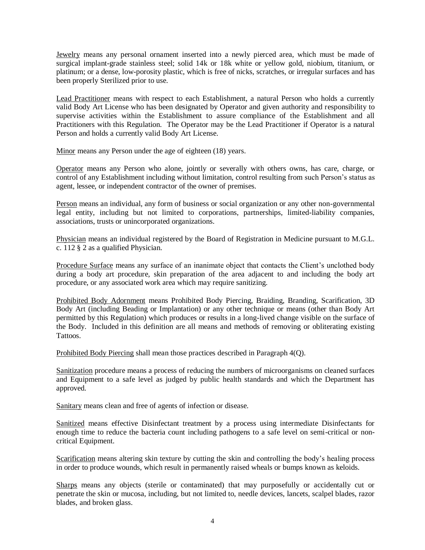Jewelry means any personal ornament inserted into a newly pierced area, which must be made of surgical implant-grade stainless steel; solid 14k or 18k white or yellow gold, niobium, titanium, or platinum; or a dense, low-porosity plastic, which is free of nicks, scratches, or irregular surfaces and has been properly Sterilized prior to use.

Lead Practitioner means with respect to each Establishment, a natural Person who holds a currently valid Body Art License who has been designated by Operator and given authority and responsibility to supervise activities within the Establishment to assure compliance of the Establishment and all Practitioners with this Regulation. The Operator may be the Lead Practitioner if Operator is a natural Person and holds a currently valid Body Art License.

Minor means any Person under the age of eighteen (18) years.

Operator means any Person who alone, jointly or severally with others owns, has care, charge, or control of any Establishment including without limitation, control resulting from such Person's status as agent, lessee, or independent contractor of the owner of premises.

Person means an individual, any form of business or social organization or any other non-governmental legal entity, including but not limited to corporations, partnerships, limited-liability companies, associations, trusts or unincorporated organizations.

Physician means an individual registered by the Board of Registration in Medicine pursuant to M.G.L. c. 112 § 2 as a qualified Physician.

Procedure Surface means any surface of an inanimate object that contacts the Client's unclothed body during a body art procedure, skin preparation of the area adjacent to and including the body art procedure, or any associated work area which may require sanitizing.

Prohibited Body Adornment means Prohibited Body Piercing, Braiding, Branding, Scarification, 3D Body Art (including Beading or Implantation) or any other technique or means (other than Body Art permitted by this Regulation) which produces or results in a long-lived change visible on the surface of the Body. Included in this definition are all means and methods of removing or obliterating existing Tattoos.

Prohibited Body Piercing shall mean those practices described in Paragraph 4(Q).

Sanitization procedure means a process of reducing the numbers of microorganisms on cleaned surfaces and Equipment to a safe level as judged by public health standards and which the Department has approved.

Sanitary means clean and free of agents of infection or disease.

Sanitized means effective Disinfectant treatment by a process using intermediate Disinfectants for enough time to reduce the bacteria count including pathogens to a safe level on semi-critical or noncritical Equipment.

Scarification means altering skin texture by cutting the skin and controlling the body's healing process in order to produce wounds, which result in permanently raised wheals or bumps known as keloids.

Sharps means any objects (sterile or contaminated) that may purposefully or accidentally cut or penetrate the skin or mucosa, including, but not limited to, needle devices, lancets, scalpel blades, razor blades, and broken glass.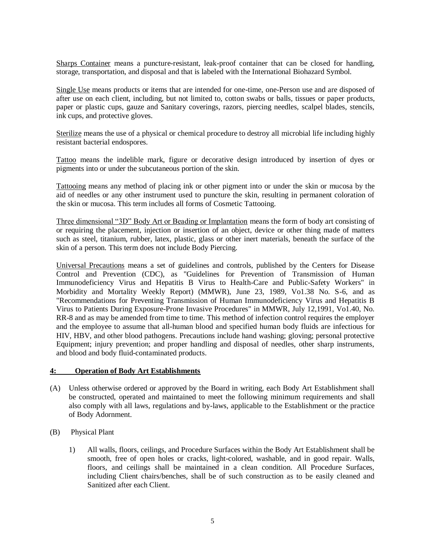Sharps Container means a puncture-resistant, leak-proof container that can be closed for handling, storage, transportation, and disposal and that is labeled with the International Biohazard Symbol.

Single Use means products or items that are intended for one-time, one-Person use and are disposed of after use on each client, including, but not limited to, cotton swabs or balls, tissues or paper products, paper or plastic cups, gauze and Sanitary coverings, razors, piercing needles, scalpel blades, stencils, ink cups, and protective gloves.

Sterilize means the use of a physical or chemical procedure to destroy all microbial life including highly resistant bacterial endospores.

Tattoo means the indelible mark, figure or decorative design introduced by insertion of dyes or pigments into or under the subcutaneous portion of the skin.

Tattooing means any method of placing ink or other pigment into or under the skin or mucosa by the aid of needles or any other instrument used to puncture the skin, resulting in permanent coloration of the skin or mucosa. This term includes all forms of Cosmetic Tattooing.

Three dimensional "3D" Body Art or Beading or Implantation means the form of body art consisting of or requiring the placement, injection or insertion of an object, device or other thing made of matters such as steel, titanium, rubber, latex, plastic, glass or other inert materials, beneath the surface of the skin of a person. This term does not include Body Piercing.

Universal Precautions means a set of guidelines and controls, published by the Centers for Disease Control and Prevention (CDC), as "Guidelines for Prevention of Transmission of Human Immunodeficiency Virus and Hepatitis B Virus to Health-Care and Public-Safety Workers" in Morbidity and Mortality Weekly Report) (MMWR), June 23, 1989, Vo1.38 No. S-6, and as "Recommendations for Preventing Transmission of Human Immunodeficiency Virus and Hepatitis B Virus to Patients During Exposure-Prone Invasive Procedures" in MMWR, July 12,1991, Vo1.40, No. RR-8 and as may be amended from time to time. This method of infection control requires the employer and the employee to assume that all-human blood and specified human body fluids are infectious for HIV, HBV, and other blood pathogens. Precautions include hand washing; gloving; personal protective Equipment; injury prevention; and proper handling and disposal of needles, other sharp instruments, and blood and body fluid-contaminated products.

### **4: Operation of Body Art Establishments**

- (A) Unless otherwise ordered or approved by the Board in writing, each Body Art Establishment shall be constructed, operated and maintained to meet the following minimum requirements and shall also comply with all laws, regulations and by-laws, applicable to the Establishment or the practice of Body Adornment.
- (B) Physical Plant
	- 1) All walls, floors, ceilings, and Procedure Surfaces within the Body Art Establishment shall be smooth, free of open holes or cracks, light-colored, washable, and in good repair. Walls, floors, and ceilings shall be maintained in a clean condition. All Procedure Surfaces, including Client chairs/benches, shall be of such construction as to be easily cleaned and Sanitized after each Client.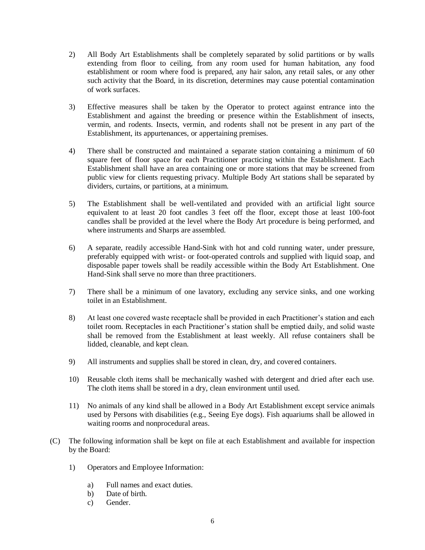- 2) All Body Art Establishments shall be completely separated by solid partitions or by walls extending from floor to ceiling, from any room used for human habitation, any food establishment or room where food is prepared, any hair salon, any retail sales, or any other such activity that the Board, in its discretion, determines may cause potential contamination of work surfaces.
- 3) Effective measures shall be taken by the Operator to protect against entrance into the Establishment and against the breeding or presence within the Establishment of insects, vermin, and rodents. Insects, vermin, and rodents shall not be present in any part of the Establishment, its appurtenances, or appertaining premises.
- 4) There shall be constructed and maintained a separate station containing a minimum of 60 square feet of floor space for each Practitioner practicing within the Establishment. Each Establishment shall have an area containing one or more stations that may be screened from public view for clients requesting privacy. Multiple Body Art stations shall be separated by dividers, curtains, or partitions, at a minimum.
- 5) The Establishment shall be well-ventilated and provided with an artificial light source equivalent to at least 20 foot candles 3 feet off the floor, except those at least 100-foot candles shall be provided at the level where the Body Art procedure is being performed, and where instruments and Sharps are assembled.
- 6) A separate, readily accessible Hand-Sink with hot and cold running water, under pressure, preferably equipped with wrist- or foot-operated controls and supplied with liquid soap, and disposable paper towels shall be readily accessible within the Body Art Establishment. One Hand-Sink shall serve no more than three practitioners.
- 7) There shall be a minimum of one lavatory, excluding any service sinks, and one working toilet in an Establishment.
- 8) At least one covered waste receptacle shall be provided in each Practitioner's station and each toilet room. Receptacles in each Practitioner's station shall be emptied daily, and solid waste shall be removed from the Establishment at least weekly. All refuse containers shall be lidded, cleanable, and kept clean.
- 9) All instruments and supplies shall be stored in clean, dry, and covered containers.
- 10) Reusable cloth items shall be mechanically washed with detergent and dried after each use. The cloth items shall be stored in a dry, clean environment until used.
- 11) No animals of any kind shall be allowed in a Body Art Establishment except service animals used by Persons with disabilities (e.g., Seeing Eye dogs). Fish aquariums shall be allowed in waiting rooms and nonprocedural areas.
- (C) The following information shall be kept on file at each Establishment and available for inspection by the Board:
	- 1) Operators and Employee Information:
		- a) Full names and exact duties.
		- b) Date of birth.
		- c) Gender.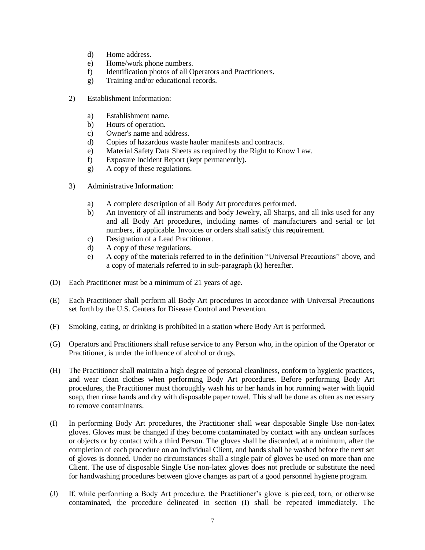- d) Home address.
- e) Home/work phone numbers.
- f) Identification photos of all Operators and Practitioners.
- g) Training and/or educational records.
- 2) Establishment Information:
	- a) Establishment name.
	- b) Hours of operation.
	- c) Owner's name and address.
	- d) Copies of hazardous waste hauler manifests and contracts.
	- e) Material Safety Data Sheets as required by the Right to Know Law.
	- f) Exposure Incident Report (kept permanently).
	- g) A copy of these regulations.
- 3) Administrative Information:
	- a) A complete description of all Body Art procedures performed.
	- b) An inventory of all instruments and body Jewelry, all Sharps, and all inks used for any and all Body Art procedures, including names of manufacturers and serial or lot numbers, if applicable. Invoices or orders shall satisfy this requirement.
	- c) Designation of a Lead Practitioner.
	- d) A copy of these regulations.
	- e) A copy of the materials referred to in the definition "Universal Precautions" above, and a copy of materials referred to in sub-paragraph (k) hereafter.
- (D) Each Practitioner must be a minimum of 21 years of age.
- (E) Each Practitioner shall perform all Body Art procedures in accordance with Universal Precautions set forth by the U.S. Centers for Disease Control and Prevention.
- (F) Smoking, eating, or drinking is prohibited in a station where Body Art is performed.
- (G) Operators and Practitioners shall refuse service to any Person who, in the opinion of the Operator or Practitioner, is under the influence of alcohol or drugs.
- (H) The Practitioner shall maintain a high degree of personal cleanliness, conform to hygienic practices, and wear clean clothes when performing Body Art procedures. Before performing Body Art procedures, the Practitioner must thoroughly wash his or her hands in hot running water with liquid soap, then rinse hands and dry with disposable paper towel. This shall be done as often as necessary to remove contaminants.
- (I) In performing Body Art procedures, the Practitioner shall wear disposable Single Use non-latex gloves. Gloves must be changed if they become contaminated by contact with any unclean surfaces or objects or by contact with a third Person. The gloves shall be discarded, at a minimum, after the completion of each procedure on an individual Client, and hands shall be washed before the next set of gloves is donned. Under no circumstances shall a single pair of gloves be used on more than one Client. The use of disposable Single Use non-latex gloves does not preclude or substitute the need for handwashing procedures between glove changes as part of a good personnel hygiene program.
- (J) If, while performing a Body Art procedure, the Practitioner's glove is pierced, torn, or otherwise contaminated, the procedure delineated in section (I) shall be repeated immediately. The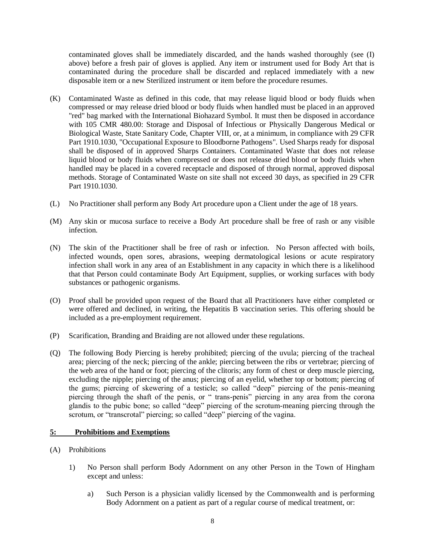contaminated gloves shall be immediately discarded, and the hands washed thoroughly (see (I) above) before a fresh pair of gloves is applied. Any item or instrument used for Body Art that is contaminated during the procedure shall be discarded and replaced immediately with a new disposable item or a new Sterilized instrument or item before the procedure resumes.

- (K) Contaminated Waste as defined in this code, that may release liquid blood or body fluids when compressed or may release dried blood or body fluids when handled must be placed in an approved "red" bag marked with the International Biohazard Symbol. It must then be disposed in accordance with 105 CMR 480.00: Storage and Disposal of Infectious or Physically Dangerous Medical or Biological Waste, State Sanitary Code, Chapter VIII, or, at a minimum, in compliance with 29 CFR Part 1910.1030, "Occupational Exposure to Bloodborne Pathogens". Used Sharps ready for disposal shall be disposed of in approved Sharps Containers. Contaminated Waste that does not release liquid blood or body fluids when compressed or does not release dried blood or body fluids when handled may be placed in a covered receptacle and disposed of through normal, approved disposal methods. Storage of Contaminated Waste on site shall not exceed 30 days, as specified in 29 CFR Part 1910.1030.
- (L) No Practitioner shall perform any Body Art procedure upon a Client under the age of 18 years.
- (M) Any skin or mucosa surface to receive a Body Art procedure shall be free of rash or any visible infection.
- (N) The skin of the Practitioner shall be free of rash or infection. No Person affected with boils, infected wounds, open sores, abrasions, weeping dermatological lesions or acute respiratory infection shall work in any area of an Establishment in any capacity in which there is a likelihood that that Person could contaminate Body Art Equipment, supplies, or working surfaces with body substances or pathogenic organisms.
- (O) Proof shall be provided upon request of the Board that all Practitioners have either completed or were offered and declined, in writing, the Hepatitis B vaccination series. This offering should be included as a pre-employment requirement.
- (P) Scarification, Branding and Braiding are not allowed under these regulations.
- (Q) The following Body Piercing is hereby prohibited; piercing of the uvula; piercing of the tracheal area; piercing of the neck; piercing of the ankle; piercing between the ribs or vertebrae; piercing of the web area of the hand or foot; piercing of the clitoris; any form of chest or deep muscle piercing, excluding the nipple; piercing of the anus; piercing of an eyelid, whether top or bottom; piercing of the gums; piercing of skewering of a testicle; so called "deep" piercing of the penis-meaning piercing through the shaft of the penis, or " trans-penis" piercing in any area from the corona glandis to the pubic bone; so called "deep" piercing of the scrotum-meaning piercing through the scrotum, or "transcrotal" piercing; so called "deep" piercing of the vagina.

# **5: Prohibitions and Exemptions**

- (A) Prohibitions
	- 1) No Person shall perform Body Adornment on any other Person in the Town of Hingham except and unless:
		- a) Such Person is a physician validly licensed by the Commonwealth and is performing Body Adornment on a patient as part of a regular course of medical treatment, or: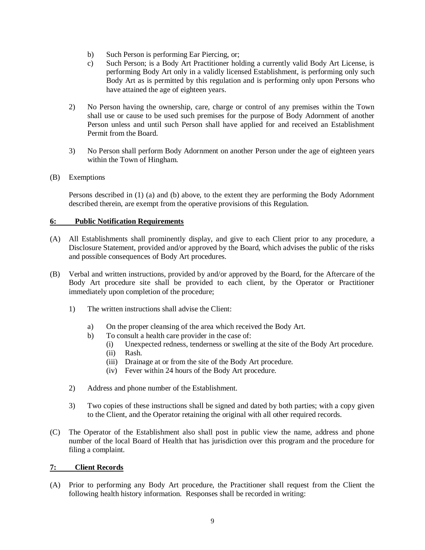- b) Such Person is performing Ear Piercing, or;
- c) Such Person; is a Body Art Practitioner holding a currently valid Body Art License, is performing Body Art only in a validly licensed Establishment, is performing only such Body Art as is permitted by this regulation and is performing only upon Persons who have attained the age of eighteen years.
- 2) No Person having the ownership, care, charge or control of any premises within the Town shall use or cause to be used such premises for the purpose of Body Adornment of another Person unless and until such Person shall have applied for and received an Establishment Permit from the Board.
- 3) No Person shall perform Body Adornment on another Person under the age of eighteen years within the Town of Hingham.
- (B) Exemptions

Persons described in (1) (a) and (b) above, to the extent they are performing the Body Adornment described therein, are exempt from the operative provisions of this Regulation.

# **6: Public Notification Requirements**

- (A) All Establishments shall prominently display, and give to each Client prior to any procedure, a Disclosure Statement, provided and/or approved by the Board, which advises the public of the risks and possible consequences of Body Art procedures.
- (B) Verbal and written instructions, provided by and/or approved by the Board, for the Aftercare of the Body Art procedure site shall be provided to each client, by the Operator or Practitioner immediately upon completion of the procedure;
	- 1) The written instructions shall advise the Client:
		- a) On the proper cleansing of the area which received the Body Art.
		- b) To consult a health care provider in the case of:
			- (i) Unexpected redness, tenderness or swelling at the site of the Body Art procedure.
			- (ii) Rash.
			- (iii) Drainage at or from the site of the Body Art procedure.
			- (iv) Fever within 24 hours of the Body Art procedure.
	- 2) Address and phone number of the Establishment.
	- 3) Two copies of these instructions shall be signed and dated by both parties; with a copy given to the Client, and the Operator retaining the original with all other required records.
- (C) The Operator of the Establishment also shall post in public view the name, address and phone number of the local Board of Health that has jurisdiction over this program and the procedure for filing a complaint.

# **7: Client Records**

(A) Prior to performing any Body Art procedure, the Practitioner shall request from the Client the following health history information. Responses shall be recorded in writing: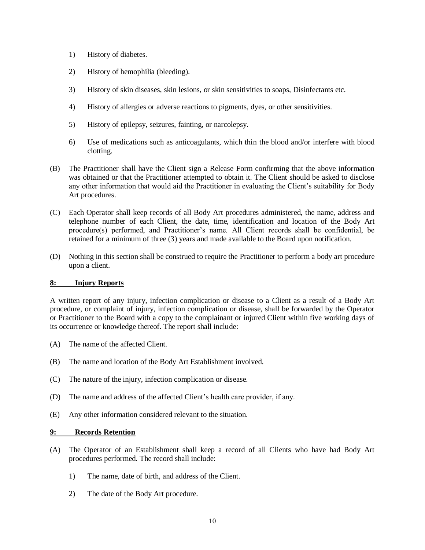- 1) History of diabetes.
- 2) History of hemophilia (bleeding).
- 3) History of skin diseases, skin lesions, or skin sensitivities to soaps, Disinfectants etc.
- 4) History of allergies or adverse reactions to pigments, dyes, or other sensitivities.
- 5) History of epilepsy, seizures, fainting, or narcolepsy.
- 6) Use of medications such as anticoagulants, which thin the blood and/or interfere with blood clotting.
- (B) The Practitioner shall have the Client sign a Release Form confirming that the above information was obtained or that the Practitioner attempted to obtain it. The Client should be asked to disclose any other information that would aid the Practitioner in evaluating the Client's suitability for Body Art procedures.
- (C) Each Operator shall keep records of all Body Art procedures administered, the name, address and telephone number of each Client, the date, time, identification and location of the Body Art procedure(s) performed, and Practitioner's name. All Client records shall be confidential, be retained for a minimum of three (3) years and made available to the Board upon notification.
- (D) Nothing in this section shall be construed to require the Practitioner to perform a body art procedure upon a client.

# **8: Injury Reports**

A written report of any injury, infection complication or disease to a Client as a result of a Body Art procedure, or complaint of injury, infection complication or disease, shall be forwarded by the Operator or Practitioner to the Board with a copy to the complainant or injured Client within five working days of its occurrence or knowledge thereof. The report shall include:

- (A) The name of the affected Client.
- (B) The name and location of the Body Art Establishment involved.
- (C) The nature of the injury, infection complication or disease.
- (D) The name and address of the affected Client's health care provider, if any.
- (E) Any other information considered relevant to the situation.

# **9: Records Retention**

- (A) The Operator of an Establishment shall keep a record of all Clients who have had Body Art procedures performed. The record shall include:
	- 1) The name, date of birth, and address of the Client.
	- 2) The date of the Body Art procedure.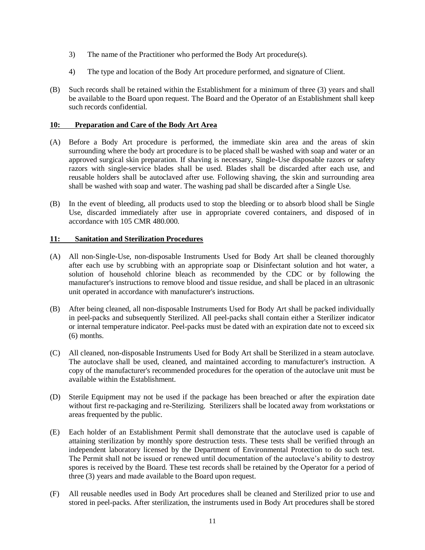- 3) The name of the Practitioner who performed the Body Art procedure(s).
- 4) The type and location of the Body Art procedure performed, and signature of Client.
- (B) Such records shall be retained within the Establishment for a minimum of three (3) years and shall be available to the Board upon request. The Board and the Operator of an Establishment shall keep such records confidential.

### **10: Preparation and Care of the Body Art Area**

- (A) Before a Body Art procedure is performed, the immediate skin area and the areas of skin surrounding where the body art procedure is to be placed shall be washed with soap and water or an approved surgical skin preparation. If shaving is necessary, Single-Use disposable razors or safety razors with single-service blades shall be used. Blades shall be discarded after each use, and reusable holders shall be autoclaved after use. Following shaving, the skin and surrounding area shall be washed with soap and water. The washing pad shall be discarded after a Single Use.
- (B) In the event of bleeding, all products used to stop the bleeding or to absorb blood shall be Single Use, discarded immediately after use in appropriate covered containers, and disposed of in accordance with 105 CMR 480.000.

# **11: Sanitation and Sterilization Procedures**

- (A) All non-Single-Use, non-disposable Instruments Used for Body Art shall be cleaned thoroughly after each use by scrubbing with an appropriate soap or Disinfectant solution and hot water, a solution of household chlorine bleach as recommended by the CDC or by following the manufacturer's instructions to remove blood and tissue residue, and shall be placed in an ultrasonic unit operated in accordance with manufacturer's instructions.
- (B) After being cleaned, all non-disposable Instruments Used for Body Art shall be packed individually in peel-packs and subsequently Sterilized. All peel-packs shall contain either a Sterilizer indicator or internal temperature indicator. Peel-packs must be dated with an expiration date not to exceed six (6) months.
- (C) All cleaned, non-disposable Instruments Used for Body Art shall be Sterilized in a steam autoclave. The autoclave shall be used, cleaned, and maintained according to manufacturer's instruction. A copy of the manufacturer's recommended procedures for the operation of the autoclave unit must be available within the Establishment.
- (D) Sterile Equipment may not be used if the package has been breached or after the expiration date without first re-packaging and re-Sterilizing. Sterilizers shall be located away from workstations or areas frequented by the public.
- (E) Each holder of an Establishment Permit shall demonstrate that the autoclave used is capable of attaining sterilization by monthly spore destruction tests. These tests shall be verified through an independent laboratory licensed by the Department of Environmental Protection to do such test. The Permit shall not be issued or renewed until documentation of the autoclave's ability to destroy spores is received by the Board. These test records shall be retained by the Operator for a period of three (3) years and made available to the Board upon request.
- (F) All reusable needles used in Body Art procedures shall be cleaned and Sterilized prior to use and stored in peel-packs. After sterilization, the instruments used in Body Art procedures shall be stored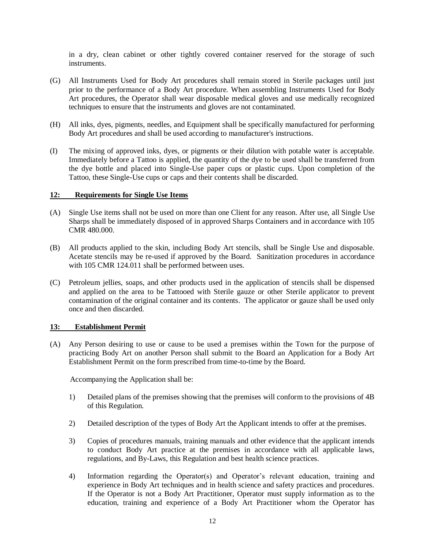in a dry, clean cabinet or other tightly covered container reserved for the storage of such instruments.

- (G) All Instruments Used for Body Art procedures shall remain stored in Sterile packages until just prior to the performance of a Body Art procedure. When assembling Instruments Used for Body Art procedures, the Operator shall wear disposable medical gloves and use medically recognized techniques to ensure that the instruments and gloves are not contaminated.
- (H) All inks, dyes, pigments, needles, and Equipment shall be specifically manufactured for performing Body Art procedures and shall be used according to manufacturer's instructions.
- (I) The mixing of approved inks, dyes, or pigments or their dilution with potable water is acceptable. Immediately before a Tattoo is applied, the quantity of the dye to be used shall be transferred from the dye bottle and placed into Single-Use paper cups or plastic cups. Upon completion of the Tattoo, these Single-Use cups or caps and their contents shall be discarded.

### **12: Requirements for Single Use Items**

- (A) Single Use items shall not be used on more than one Client for any reason. After use, all Single Use Sharps shall be immediately disposed of in approved Sharps Containers and in accordance with 105 CMR 480.000.
- (B) All products applied to the skin, including Body Art stencils, shall be Single Use and disposable. Acetate stencils may be re-used if approved by the Board. Sanitization procedures in accordance with 105 CMR 124.011 shall be performed between uses.
- (C) Petroleum jellies, soaps, and other products used in the application of stencils shall be dispensed and applied on the area to be Tattooed with Sterile gauze or other Sterile applicator to prevent contamination of the original container and its contents. The applicator or gauze shall be used only once and then discarded.

#### **13: Establishment Permit**

(A) Any Person desiring to use or cause to be used a premises within the Town for the purpose of practicing Body Art on another Person shall submit to the Board an Application for a Body Art Establishment Permit on the form prescribed from time-to-time by the Board.

Accompanying the Application shall be:

- 1) Detailed plans of the premises showing that the premises will conform to the provisions of 4B of this Regulation.
- 2) Detailed description of the types of Body Art the Applicant intends to offer at the premises.
- 3) Copies of procedures manuals, training manuals and other evidence that the applicant intends to conduct Body Art practice at the premises in accordance with all applicable laws, regulations, and By-Laws, this Regulation and best health science practices.
- 4) Information regarding the Operator(s) and Operator's relevant education, training and experience in Body Art techniques and in health science and safety practices and procedures. If the Operator is not a Body Art Practitioner, Operator must supply information as to the education, training and experience of a Body Art Practitioner whom the Operator has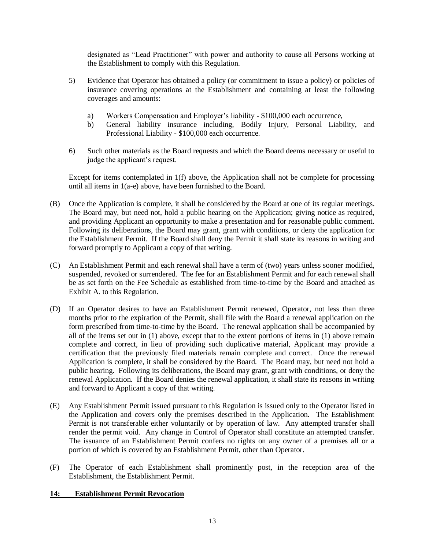designated as "Lead Practitioner" with power and authority to cause all Persons working at the Establishment to comply with this Regulation.

- 5) Evidence that Operator has obtained a policy (or commitment to issue a policy) or policies of insurance covering operations at the Establishment and containing at least the following coverages and amounts:
	- a) Workers Compensation and Employer's liability \$100,000 each occurrence,
	- b) General liability insurance including, Bodily Injury, Personal Liability, and Professional Liability - \$100,000 each occurrence.
- 6) Such other materials as the Board requests and which the Board deems necessary or useful to judge the applicant's request.

Except for items contemplated in 1(f) above, the Application shall not be complete for processing until all items in 1(a-e) above, have been furnished to the Board.

- (B) Once the Application is complete, it shall be considered by the Board at one of its regular meetings. The Board may, but need not, hold a public hearing on the Application; giving notice as required, and providing Applicant an opportunity to make a presentation and for reasonable public comment. Following its deliberations, the Board may grant, grant with conditions, or deny the application for the Establishment Permit. If the Board shall deny the Permit it shall state its reasons in writing and forward promptly to Applicant a copy of that writing.
- (C) An Establishment Permit and each renewal shall have a term of (two) years unless sooner modified, suspended, revoked or surrendered. The fee for an Establishment Permit and for each renewal shall be as set forth on the Fee Schedule as established from time-to-time by the Board and attached as Exhibit A. to this Regulation.
- (D) If an Operator desires to have an Establishment Permit renewed, Operator, not less than three months prior to the expiration of the Permit, shall file with the Board a renewal application on the form prescribed from time-to-time by the Board. The renewal application shall be accompanied by all of the items set out in (1) above, except that to the extent portions of items in (1) above remain complete and correct, in lieu of providing such duplicative material, Applicant may provide a certification that the previously filed materials remain complete and correct. Once the renewal Application is complete, it shall be considered by the Board. The Board may, but need not hold a public hearing. Following its deliberations, the Board may grant, grant with conditions, or deny the renewal Application. If the Board denies the renewal application, it shall state its reasons in writing and forward to Applicant a copy of that writing.
- (E) Any Establishment Permit issued pursuant to this Regulation is issued only to the Operator listed in the Application and covers only the premises described in the Application. The Establishment Permit is not transferable either voluntarily or by operation of law. Any attempted transfer shall render the permit void. Any change in Control of Operator shall constitute an attempted transfer. The issuance of an Establishment Permit confers no rights on any owner of a premises all or a portion of which is covered by an Establishment Permit, other than Operator.
- (F) The Operator of each Establishment shall prominently post, in the reception area of the Establishment, the Establishment Permit.

# **14: Establishment Permit Revocation**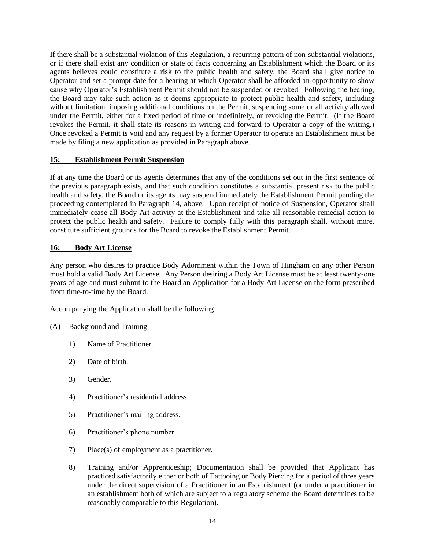If there shall be a substantial violation of this Regulation, a recurring pattern of non-substantial violations, or if there shall exist any condition or state of facts concerning an Establishment which the Board or its agents believes could constitute a risk to the public health and safety, the Board shall give notice to Operator and set a prompt date for a hearing at which Operator shall be afforded an opportunity to show cause why Operator's Establishment Permit should not be suspended or revoked. Following the hearing, the Board may take such action as it deems appropriate to protect public health and safety, including without limitation, imposing additional conditions on the Permit, suspending some or all activity allowed under the Permit, either for a fixed period of time or indefinitely, or revoking the Permit. (If the Board revokes the Permit, it shall state its reasons in writing and forward to Operator a copy of the writing.) Once revoked a Permit is void and any request by a former Operator to operate an Establishment must be made by filing a new application as provided in Paragraph above.

# **15: Establishment Permit Suspension**

If at any time the Board or its agents determines that any of the conditions set out in the first sentence of the previous paragraph exists, and that such condition constitutes a substantial present risk to the public health and safety, the Board or its agents may suspend immediately the Establishment Permit pending the proceeding contemplated in Paragraph 14, above. Upon receipt of notice of Suspension, Operator shall immediately cease all Body Art activity at the Establishment and take all reasonable remedial action to protect the public health and safety. Failure to comply fully with this paragraph shall, without more, constitute sufficient grounds for the Board to revoke the Establishment Permit.

# **16: Body Art License**

Any person who desires to practice Body Adornment within the Town of Hingham on any other Person must hold a valid Body Art License. Any Person desiring a Body Art License must be at least twenty-one years of age and must submit to the Board an Application for a Body Art License on the form prescribed from time-to-time by the Board.

Accompanying the Application shall be the following:

- (A) Background and Training
	- 1) Name of Practitioner.
	- 2) Date of birth.
	- 3) Gender.
	- 4) Practitioner's residential address.
	- 5) Practitioner's mailing address.
	- 6) Practitioner's phone number.
	- 7) Place(s) of employment as a practitioner.
	- 8) Training and/or Apprenticeship; Documentation shall be provided that Applicant has practiced satisfactorily either or both of Tattooing or Body Piercing for a period of three years under the direct supervision of a Practitioner in an Establishment (or under a practitioner in an establishment both of which are subject to a regulatory scheme the Board determines to be reasonably comparable to this Regulation).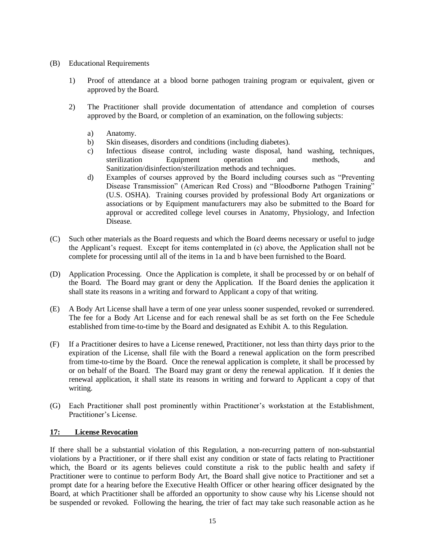- (B) Educational Requirements
	- 1) Proof of attendance at a blood borne pathogen training program or equivalent, given or approved by the Board.
	- 2) The Practitioner shall provide documentation of attendance and completion of courses approved by the Board, or completion of an examination, on the following subjects:
		- a) Anatomy.
		- b) Skin diseases, disorders and conditions (including diabetes).
		- c) Infectious disease control, including waste disposal, hand washing, techniques, sterilization Equipment operation and methods, and Sanitization/disinfection/sterilization methods and techniques.
		- d) Examples of courses approved by the Board including courses such as "Preventing Disease Transmission" (American Red Cross) and "Bloodborne Pathogen Training" (U.S. OSHA). Training courses provided by professional Body Art organizations or associations or by Equipment manufacturers may also be submitted to the Board for approval or accredited college level courses in Anatomy, Physiology, and Infection Disease.
- (C) Such other materials as the Board requests and which the Board deems necessary or useful to judge the Applicant's request. Except for items contemplated in (c) above, the Application shall not be complete for processing until all of the items in 1a and b have been furnished to the Board.
- (D) Application Processing. Once the Application is complete, it shall be processed by or on behalf of the Board. The Board may grant or deny the Application. If the Board denies the application it shall state its reasons in a writing and forward to Applicant a copy of that writing.
- (E) A Body Art License shall have a term of one year unless sooner suspended, revoked or surrendered. The fee for a Body Art License and for each renewal shall be as set forth on the Fee Schedule established from time-to-time by the Board and designated as Exhibit A. to this Regulation.
- (F) If a Practitioner desires to have a License renewed, Practitioner, not less than thirty days prior to the expiration of the License, shall file with the Board a renewal application on the form prescribed from time-to-time by the Board. Once the renewal application is complete, it shall be processed by or on behalf of the Board. The Board may grant or deny the renewal application. If it denies the renewal application, it shall state its reasons in writing and forward to Applicant a copy of that writing.
- (G) Each Practitioner shall post prominently within Practitioner's workstation at the Establishment, Practitioner's License.

# **17: License Revocation**

If there shall be a substantial violation of this Regulation, a non-recurring pattern of non-substantial violations by a Practitioner, or if there shall exist any condition or state of facts relating to Practitioner which, the Board or its agents believes could constitute a risk to the public health and safety if Practitioner were to continue to perform Body Art, the Board shall give notice to Practitioner and set a prompt date for a hearing before the Executive Health Officer or other hearing officer designated by the Board, at which Practitioner shall be afforded an opportunity to show cause why his License should not be suspended or revoked. Following the hearing, the trier of fact may take such reasonable action as he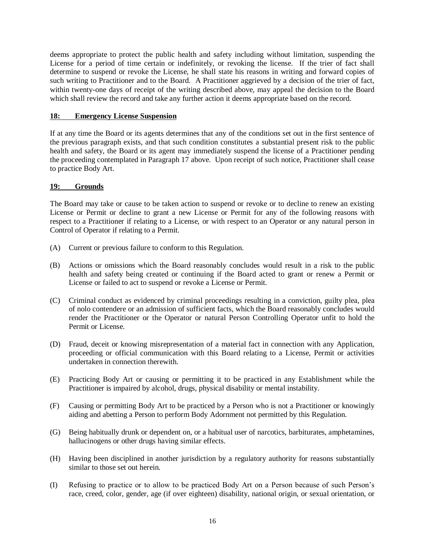deems appropriate to protect the public health and safety including without limitation, suspending the License for a period of time certain or indefinitely, or revoking the license. If the trier of fact shall determine to suspend or revoke the License, he shall state his reasons in writing and forward copies of such writing to Practitioner and to the Board. A Practitioner aggrieved by a decision of the trier of fact, within twenty-one days of receipt of the writing described above, may appeal the decision to the Board which shall review the record and take any further action it deems appropriate based on the record.

# **18: Emergency License Suspension**

If at any time the Board or its agents determines that any of the conditions set out in the first sentence of the previous paragraph exists, and that such condition constitutes a substantial present risk to the public health and safety, the Board or its agent may immediately suspend the license of a Practitioner pending the proceeding contemplated in Paragraph 17 above. Upon receipt of such notice, Practitioner shall cease to practice Body Art.

# **19: Grounds**

The Board may take or cause to be taken action to suspend or revoke or to decline to renew an existing License or Permit or decline to grant a new License or Permit for any of the following reasons with respect to a Practitioner if relating to a License, or with respect to an Operator or any natural person in Control of Operator if relating to a Permit.

- (A) Current or previous failure to conform to this Regulation.
- (B) Actions or omissions which the Board reasonably concludes would result in a risk to the public health and safety being created or continuing if the Board acted to grant or renew a Permit or License or failed to act to suspend or revoke a License or Permit.
- (C) Criminal conduct as evidenced by criminal proceedings resulting in a conviction, guilty plea, plea of nolo contendere or an admission of sufficient facts, which the Board reasonably concludes would render the Practitioner or the Operator or natural Person Controlling Operator unfit to hold the Permit or License.
- (D) Fraud, deceit or knowing misrepresentation of a material fact in connection with any Application, proceeding or official communication with this Board relating to a License, Permit or activities undertaken in connection therewith.
- (E) Practicing Body Art or causing or permitting it to be practiced in any Establishment while the Practitioner is impaired by alcohol, drugs, physical disability or mental instability.
- (F) Causing or permitting Body Art to be practiced by a Person who is not a Practitioner or knowingly aiding and abetting a Person to perform Body Adornment not permitted by this Regulation.
- (G) Being habitually drunk or dependent on, or a habitual user of narcotics, barbiturates, amphetamines, hallucinogens or other drugs having similar effects.
- (H) Having been disciplined in another jurisdiction by a regulatory authority for reasons substantially similar to those set out herein.
- (I) Refusing to practice or to allow to be practiced Body Art on a Person because of such Person's race, creed, color, gender, age (if over eighteen) disability, national origin, or sexual orientation, or